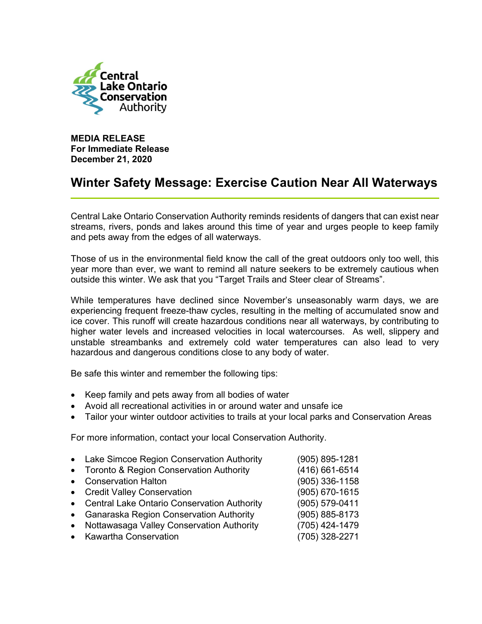

MEDIA RELEASE For Immediate Release December 21, 2020

## Winter Safety Message: Exercise Caution Near All Waterways

Central Lake Ontario Conservation Authority reminds residents of dangers that can exist near streams, rivers, ponds and lakes around this time of year and urges people to keep family and pets away from the edges of all waterways.

Those of us in the environmental field know the call of the great outdoors only too well, this year more than ever, we want to remind all nature seekers to be extremely cautious when outside this winter. We ask that you "Target Trails and Steer clear of Streams".

While temperatures have declined since November's unseasonably warm days, we are experiencing frequent freeze-thaw cycles, resulting in the melting of accumulated snow and ice cover. This runoff will create hazardous conditions near all waterways, by contributing to higher water levels and increased velocities in local watercourses. As well, slippery and unstable streambanks and extremely cold water temperatures can also lead to very hazardous and dangerous conditions close to any body of water.

Be safe this winter and remember the following tips:

- Keep family and pets away from all bodies of water
- Avoid all recreational activities in or around water and unsafe ice
- Tailor your winter outdoor activities to trails at your local parks and Conservation Areas

For more information, contact your local Conservation Authority.

|           | • Lake Simcoe Region Conservation Authority   | (905) 895-1281   |
|-----------|-----------------------------------------------|------------------|
|           | • Toronto & Region Conservation Authority     | (416) 661-6514   |
| $\bullet$ | <b>Conservation Halton</b>                    | $(905)$ 336-1158 |
|           | • Credit Valley Conservation                  | (905) 670-1615   |
|           | • Central Lake Ontario Conservation Authority | (905) 579-0411   |
|           | • Ganaraska Region Conservation Authority     | (905) 885-8173   |
| $\bullet$ | Nottawasaga Valley Conservation Authority     | (705) 424-1479   |
|           | • Kawartha Conservation                       | (705) 328-2271   |